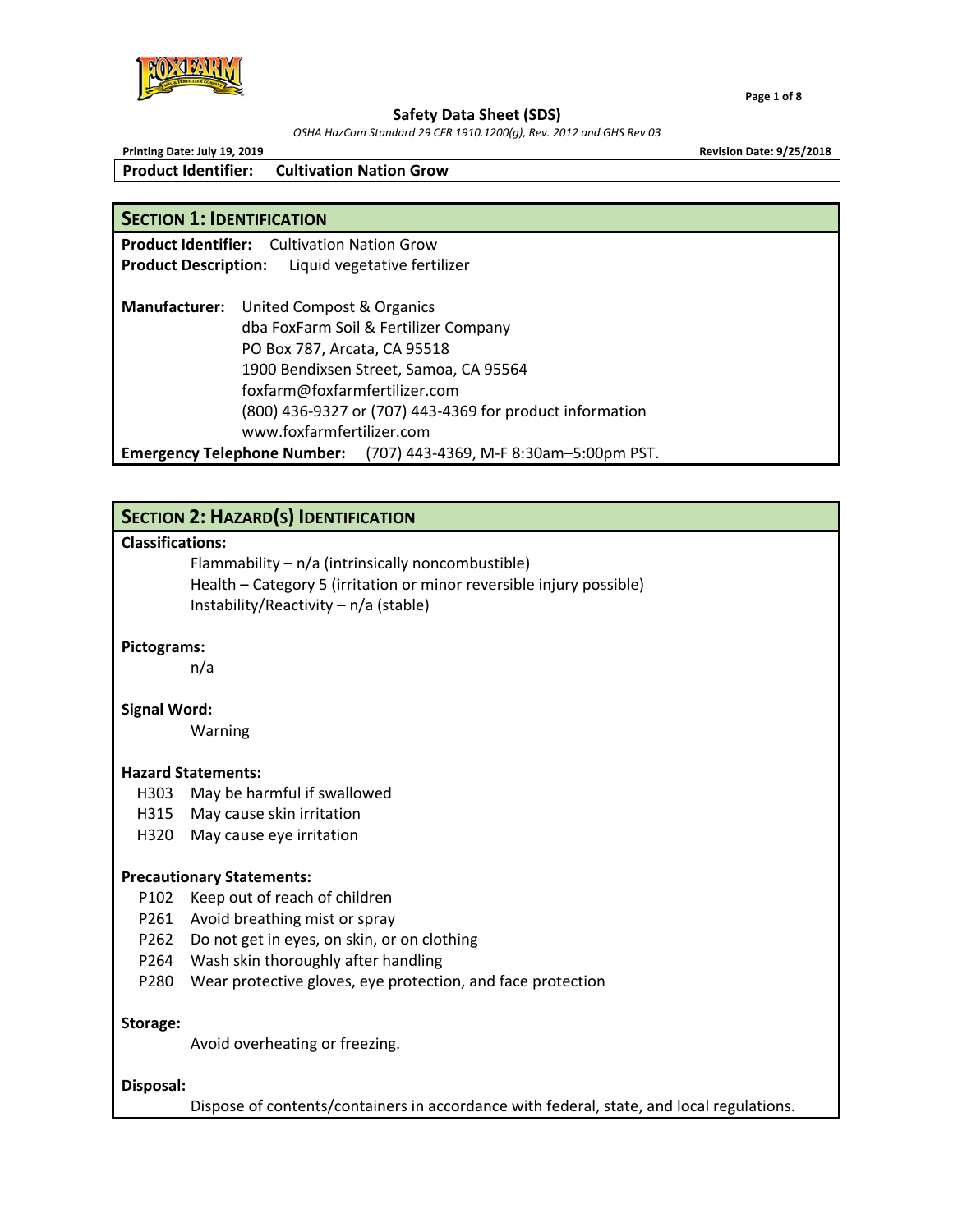

*OSHA HazCom Standard 29 CFR 1910.1200(g), Rev. 2012 and GHS Rev 03*

**Printing Date: July 19, 2019 Revision Date: 9/25/2018 Product Identifier: Cultivation Nation Grow** 

**Product Identifier:**  Cultivation Nation Grow

## **SECTION 1: IDENTIFICATION**

**Product Description:**  Liquid vegetative fertilizer **Manufacturer:**  United Compost & Organics dba FoxFarm Soil & Fertilizer Company PO Box 787, Arcata, CA 95518 1900 Bendixsen Street, Samoa, CA 95564 foxfarm@foxfarmfertilizer.com (800) 436‐9327 or (707) 443‐4369 for product information www.foxfarmfertilizer.com **Emergency Telephone Number:**  (707) 443‐4369, M‐F 8:30am–5:00pm PST.

# **SECTION 2: HAZARD(S) IDENTIFICATION**

## **Classifications:**

 Flammability – n/a (intrinsically noncombustible) Health – Category 5 (irritation or minor reversible injury possible) Instability/Reactivity – n/a (stable)

## **Pictograms:**

n/a

### **Signal Word:**

Warning

### **Hazard Statements:**

- H303 May be harmful if swallowed
- H315 May cause skin irritation
- H320 May cause eye irritation

### **Precautionary Statements:**

- P102 Keep out of reach of children
- P261 Avoid breathing mist or spray
- P262 Do not get in eyes, on skin, or on clothing
- P264 Wash skin thoroughly after handling
- P280 Wear protective gloves, eye protection, and face protection

### **Storage:**

Avoid overheating or freezing.

### **Disposal:**

Dispose of contents/containers in accordance with federal, state, and local regulations.

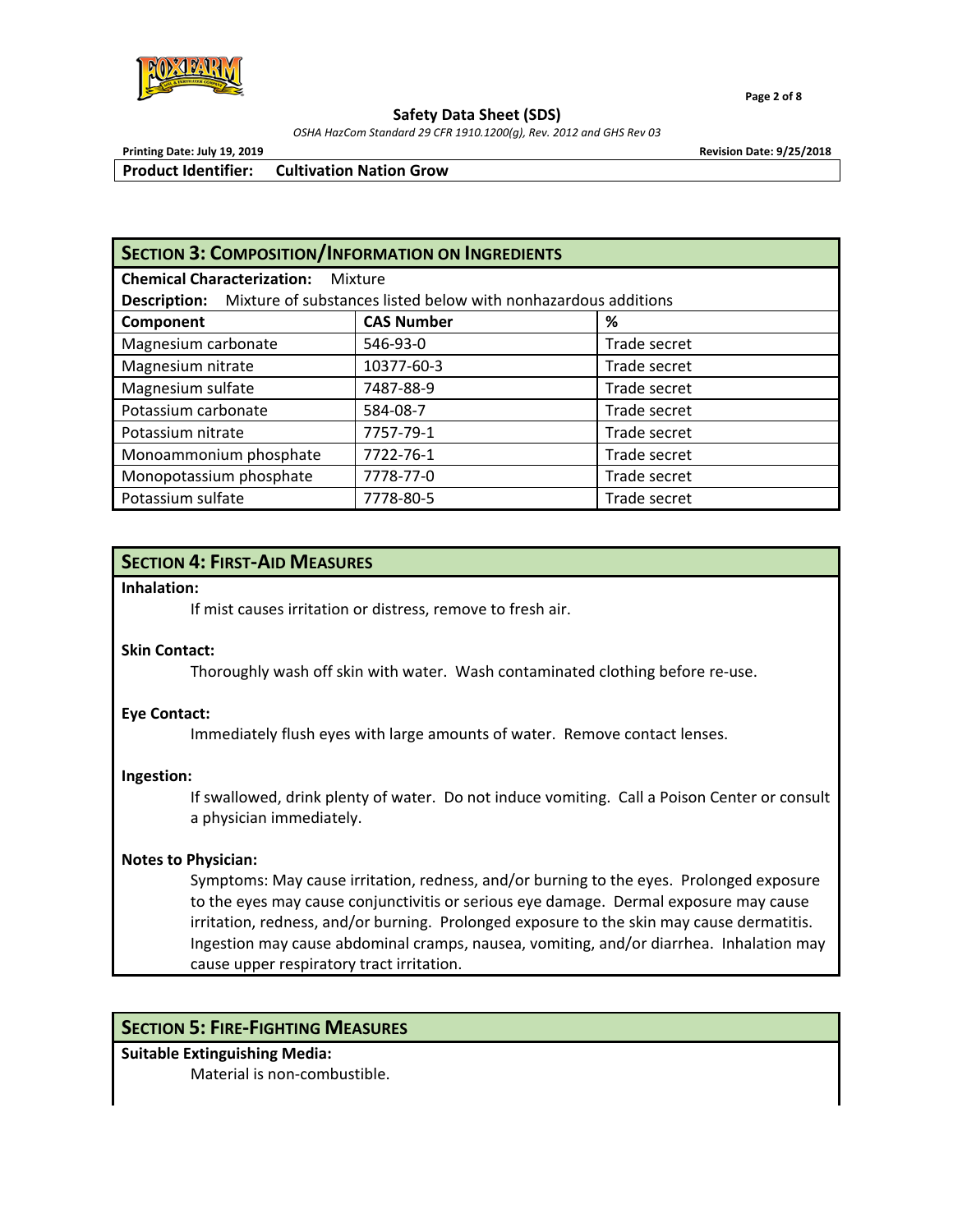

 **Page 2 of 8**

#### **Safety Data Sheet (SDS)**

*OSHA HazCom Standard 29 CFR 1910.1200(g), Rev. 2012 and GHS Rev 03*

**Printing Date: July 19, 2019 Revision Date: 9/25/2018**

**Product Identifier: Cultivation Nation Grow** 

## **SECTION 3: COMPOSITION/INFORMATION ON INGREDIENTS**

| <b>Chemical Characterization:</b> | Mixture |
|-----------------------------------|---------|
|                                   |         |

| Mixture of substances listed below with nonhazardous additions<br><b>Description:</b> |                   |              |  |  |  |
|---------------------------------------------------------------------------------------|-------------------|--------------|--|--|--|
| Component                                                                             | <b>CAS Number</b> | %            |  |  |  |
| Magnesium carbonate                                                                   | 546-93-0          | Trade secret |  |  |  |
| Magnesium nitrate                                                                     | 10377-60-3        | Trade secret |  |  |  |
| Magnesium sulfate                                                                     | 7487-88-9         | Trade secret |  |  |  |
| Potassium carbonate                                                                   | 584-08-7          | Trade secret |  |  |  |
| Potassium nitrate                                                                     | 7757-79-1         | Trade secret |  |  |  |
| Monoammonium phosphate                                                                | 7722-76-1         | Trade secret |  |  |  |
| Monopotassium phosphate                                                               | 7778-77-0         | Trade secret |  |  |  |
| Potassium sulfate                                                                     | 7778-80-5         | Trade secret |  |  |  |

## **SECTION 4: FIRST‐AID MEASURES**

**Inhalation:**

If mist causes irritation or distress, remove to fresh air.

## **Skin Contact:**

Thoroughly wash off skin with water. Wash contaminated clothing before re‐use.

### **Eye Contact:**

Immediately flush eyes with large amounts of water. Remove contact lenses.

### **Ingestion:**

If swallowed, drink plenty of water. Do not induce vomiting. Call a Poison Center or consult a physician immediately.

### **Notes to Physician:**

Symptoms: May cause irritation, redness, and/or burning to the eyes. Prolonged exposure to the eyes may cause conjunctivitis or serious eye damage. Dermal exposure may cause irritation, redness, and/or burning. Prolonged exposure to the skin may cause dermatitis. Ingestion may cause abdominal cramps, nausea, vomiting, and/or diarrhea. Inhalation may cause upper respiratory tract irritation.

# **SECTION 5: FIRE‐FIGHTING MEASURES**

## **Suitable Extinguishing Media:**

Material is non‐combustible.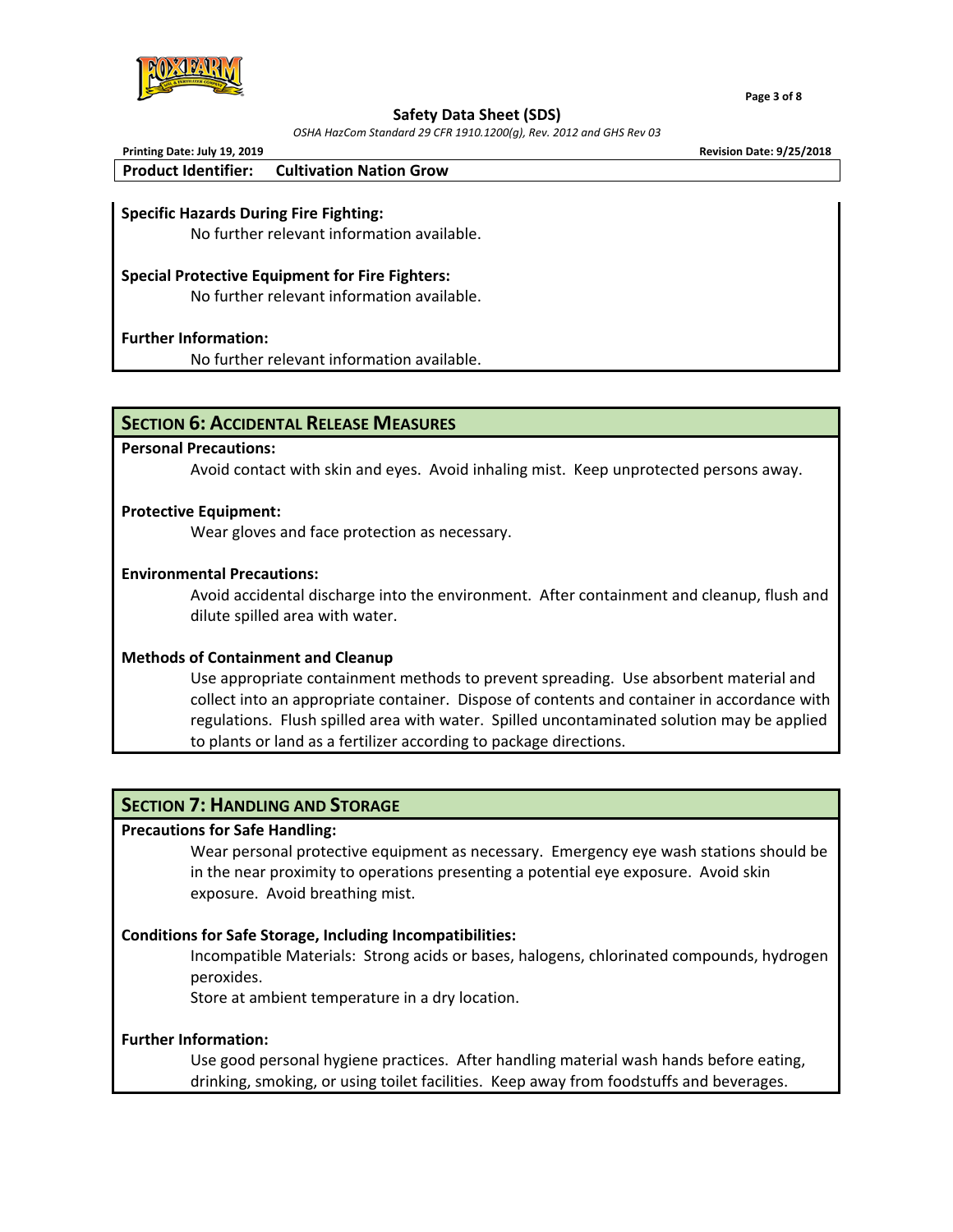

*OSHA HazCom Standard 29 CFR 1910.1200(g), Rev. 2012 and GHS Rev 03*

| Printing Date: July 19, 2019 |                                | <b>Revision Date: 9/25/2018</b> |
|------------------------------|--------------------------------|---------------------------------|
| <b>Product Identifier:</b>   | <b>Cultivation Nation Grow</b> |                                 |

### **Specific Hazards During Fire Fighting:**

No further relevant information available.

### **Special Protective Equipment for Fire Fighters:**

No further relevant information available.

### **Further Information:**

No further relevant information available.

## **SECTION 6: ACCIDENTAL RELEASE MEASURES**

### **Personal Precautions:**

Avoid contact with skin and eyes. Avoid inhaling mist. Keep unprotected persons away.

### **Protective Equipment:**

Wear gloves and face protection as necessary.

### **Environmental Precautions:**

Avoid accidental discharge into the environment. After containment and cleanup, flush and dilute spilled area with water.

### **Methods of Containment and Cleanup**

Use appropriate containment methods to prevent spreading. Use absorbent material and collect into an appropriate container. Dispose of contents and container in accordance with regulations. Flush spilled area with water. Spilled uncontaminated solution may be applied to plants or land as a fertilizer according to package directions.

## **SECTION 7: HANDLING AND STORAGE**

### **Precautions for Safe Handling:**

 Wear personal protective equipment as necessary. Emergency eye wash stations should be in the near proximity to operations presenting a potential eye exposure. Avoid skin exposure. Avoid breathing mist.

### **Conditions for Safe Storage, Including Incompatibilities:**

Incompatible Materials: Strong acids or bases, halogens, chlorinated compounds, hydrogen peroxides.

Store at ambient temperature in a dry location.

### **Further Information:**

Use good personal hygiene practices. After handling material wash hands before eating, drinking, smoking, or using toilet facilities. Keep away from foodstuffs and beverages.

 **Page 3 of 8**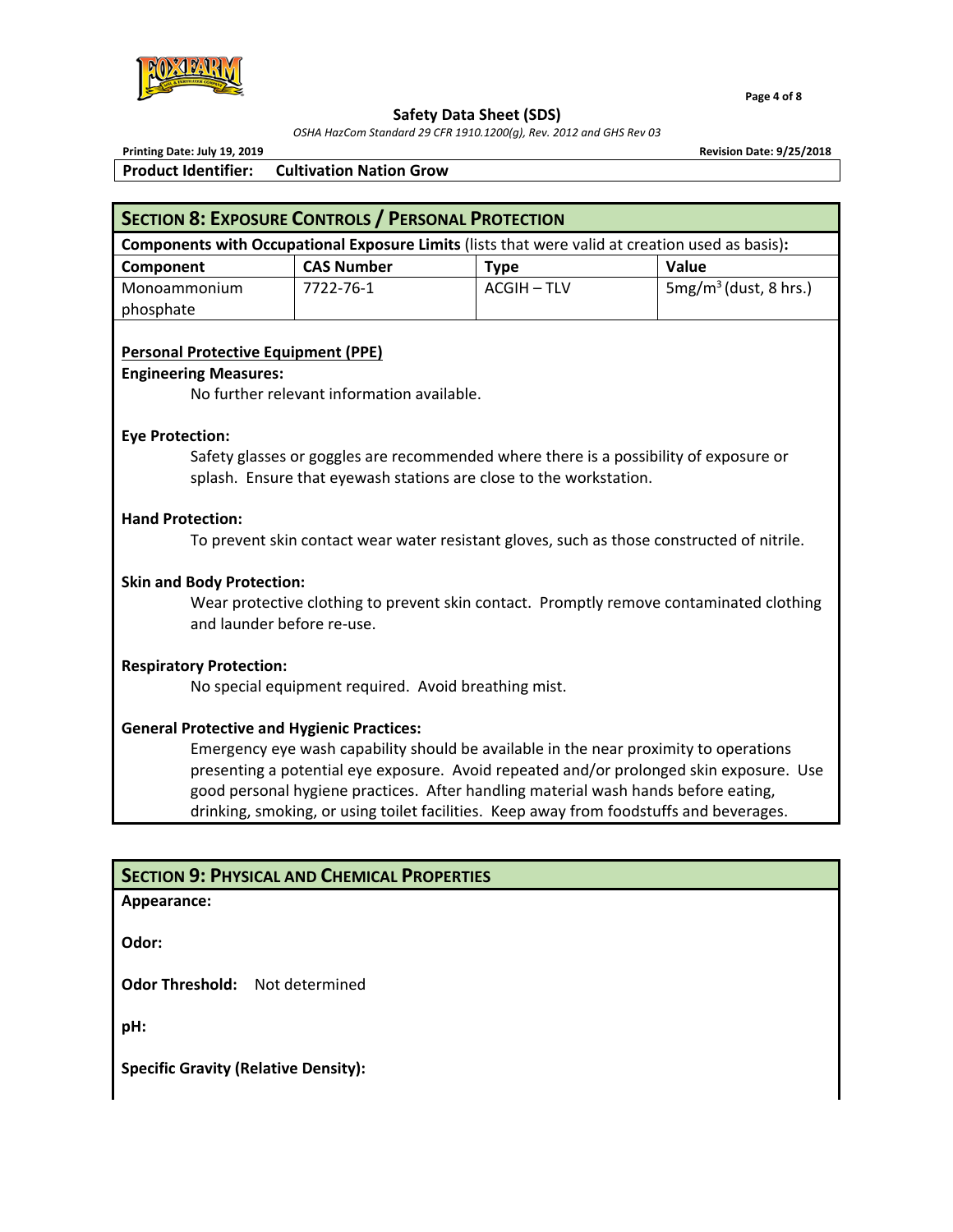

*OSHA HazCom Standard 29 CFR 1910.1200(g), Rev. 2012 and GHS Rev 03*

 **Page 4 of 8**

**Printing Date: July 19, 2019 Revision Date: 9/25/2018 Product Identifier: Cultivation Nation Grow** 

| <b>Components with Occupational Exposure Limits</b> (lists that were valid at creation used as basis): |                   |             |                         |  |  |
|--------------------------------------------------------------------------------------------------------|-------------------|-------------|-------------------------|--|--|
| Component                                                                                              | <b>CAS Number</b> | Type        | <b>Value</b>            |  |  |
| Monoammonium                                                                                           | 7722-76-1         | ACGIH – TLV | $5mg/m3$ (dust, 8 hrs.) |  |  |
| phosphate                                                                                              |                   |             |                         |  |  |

## **Personal Protective Equipment (PPE)**

### **Engineering Measures:**

No further relevant information available.

## **Eye Protection:**

Safety glasses or goggles are recommended where there is a possibility of exposure or splash. Ensure that eyewash stations are close to the workstation.

## **Hand Protection:**

To prevent skin contact wear water resistant gloves, such as those constructed of nitrile.

## **Skin and Body Protection:**

Wear protective clothing to prevent skin contact. Promptly remove contaminated clothing and launder before re‐use.

## **Respiratory Protection:**

No special equipment required. Avoid breathing mist.

## **General Protective and Hygienic Practices:**

Emergency eye wash capability should be available in the near proximity to operations presenting a potential eye exposure. Avoid repeated and/or prolonged skin exposure. Use good personal hygiene practices. After handling material wash hands before eating, drinking, smoking, or using toilet facilities. Keep away from foodstuffs and beverages.

## **SECTION 9: PHYSICAL AND CHEMICAL PROPERTIES**

## **Appearance:**

**Odor:**

**Odor Threshold:**  Not determined

**pH:** 

**Specific Gravity (Relative Density):**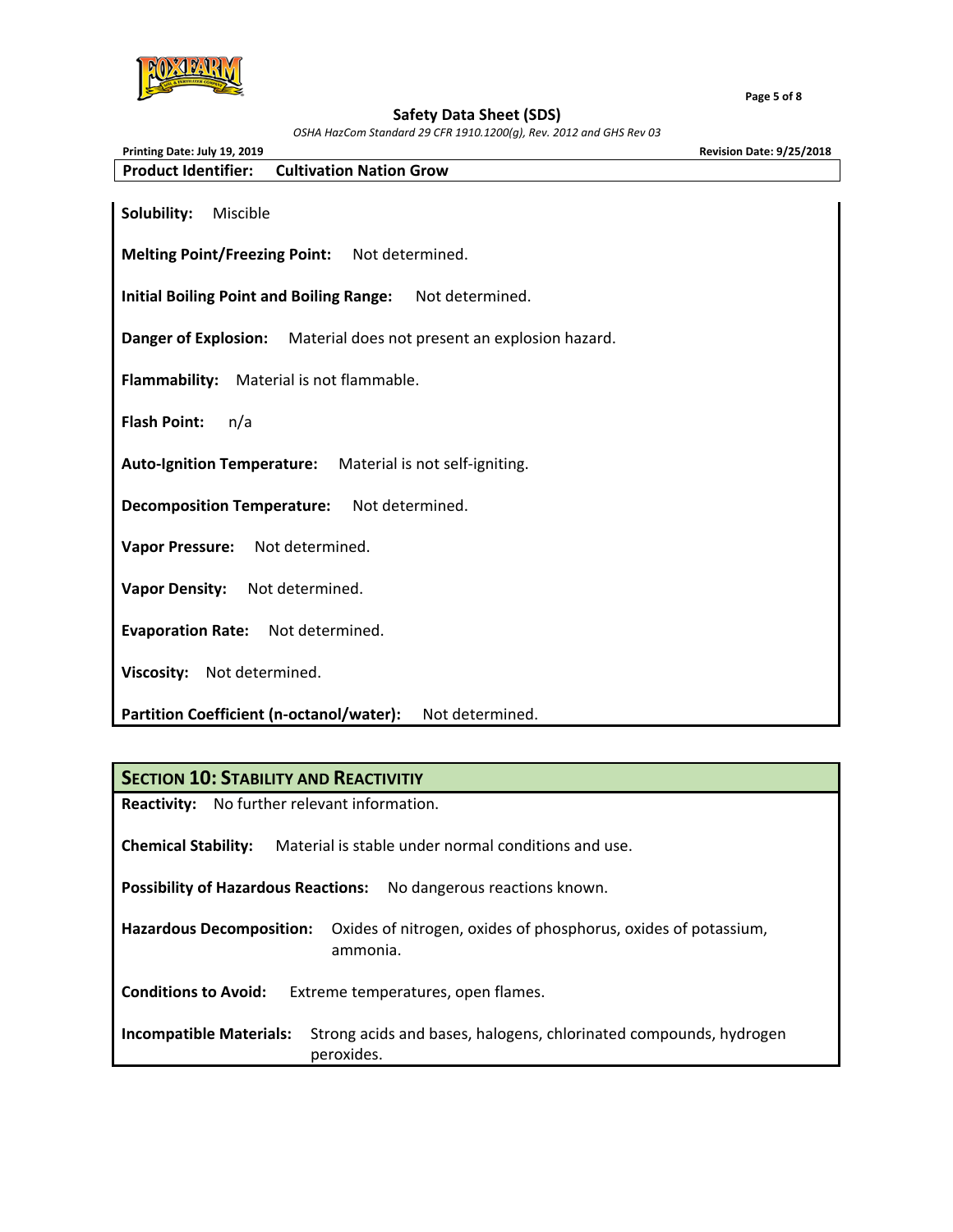

 **Page 5 of 8**

#### **Safety Data Sheet (SDS)**

*OSHA HazCom Standard 29 CFR 1910.1200(g), Rev. 2012 and GHS Rev 03*

| Printing Date: July 19, 2019                                        | <b>Revision Date: 9/25/2018</b> |
|---------------------------------------------------------------------|---------------------------------|
| <b>Product Identifier:</b><br><b>Cultivation Nation Grow</b>        |                                 |
| Solubility:<br>Miscible                                             |                                 |
| <b>Melting Point/Freezing Point:</b><br>Not determined.             |                                 |
| Not determined.<br><b>Initial Boiling Point and Boiling Range:</b>  |                                 |
| Danger of Explosion: Material does not present an explosion hazard. |                                 |
| <b>Flammability:</b><br>Material is not flammable.                  |                                 |
| <b>Flash Point:</b><br>n/a                                          |                                 |
| Auto-Ignition Temperature: Material is not self-igniting.           |                                 |
| Not determined.<br><b>Decomposition Temperature:</b>                |                                 |
| Not determined.<br><b>Vapor Pressure:</b>                           |                                 |
| <b>Vapor Density:</b><br>Not determined.                            |                                 |
| Evaporation Rate: Not determined.                                   |                                 |
| Not determined.<br><b>Viscosity:</b>                                |                                 |
| Partition Coefficient (n-octanol/water):<br>Not determined.         |                                 |

### **SECTION 10: STABILITY AND REACTIVITIY**

**Reactivity:** No further relevant information.

**Chemical Stability:**  Material is stable under normal conditions and use.

**Possibility of Hazardous Reactions:**  No dangerous reactions known.

**Hazardous Decomposition:**  Oxides of nitrogen, oxides of phosphorus, oxides of potassium, ammonia.

**Conditions to Avoid:**  Extreme temperatures, open flames.

**Incompatible Materials:**  Strong acids and bases, halogens, chlorinated compounds, hydrogen peroxides.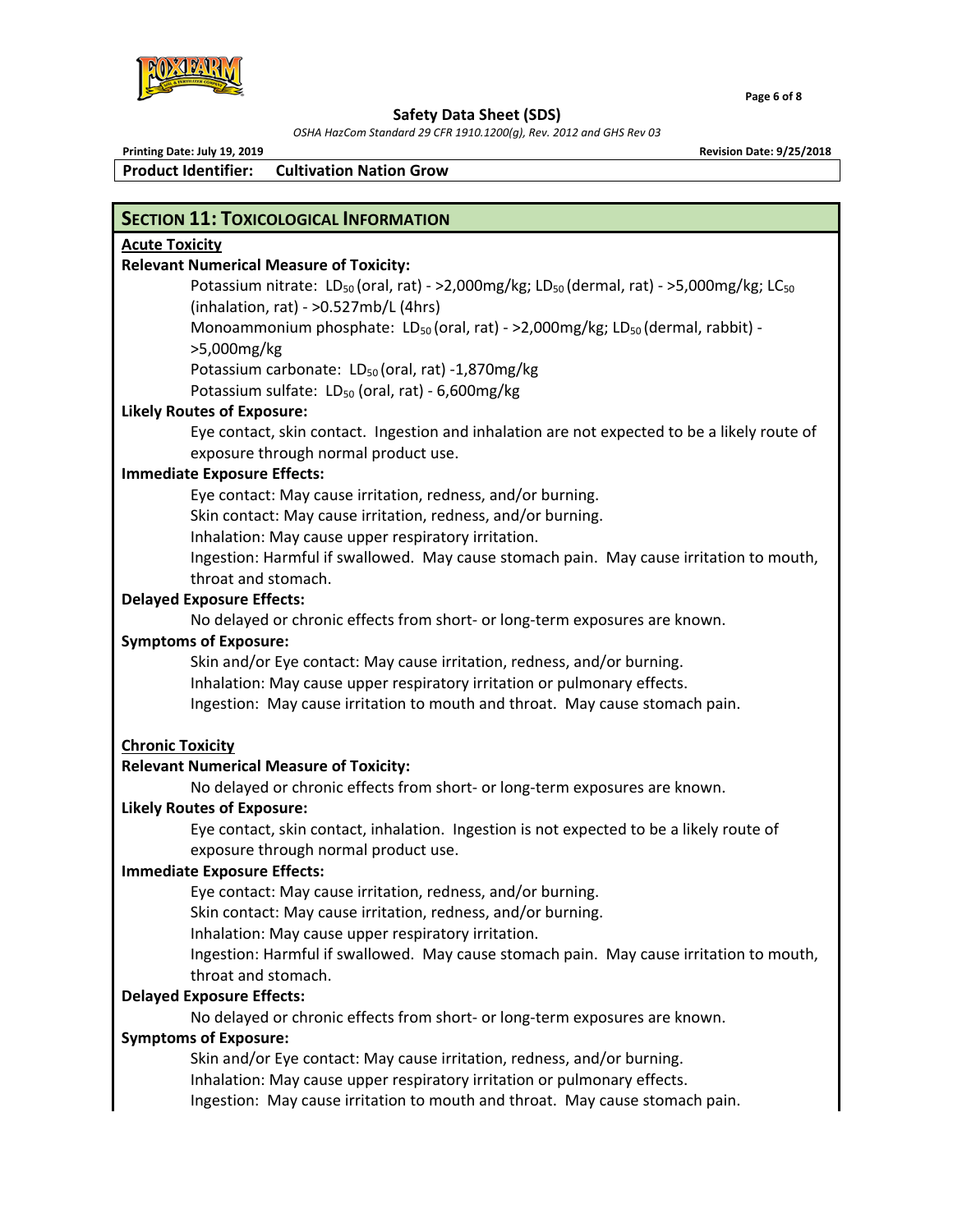

*OSHA HazCom Standard 29 CFR 1910.1200(g), Rev. 2012 and GHS Rev 03*

 $\blacksquare$  . The set of the set of the set of the set of the set of the set of the set of the set of the set of the set of the set of the set of the set of the set of the set of the set of the set of the set of the set of the

**Product Identifier: Cultivation Nation Grow** 

**Printing Date: July 19, 2019 Revision Date: 9/25/2018**

# **SECTION 11: TOXICOLOGICAL INFORMATION**

## **Acute Toxicity**

## **Relevant Numerical Measure of Toxicity:**

Potassium nitrate:  $LD_{50}$  (oral, rat) - >2,000mg/kg; LD<sub>50</sub> (dermal, rat) - >5,000mg/kg; LC<sub>50</sub> (inhalation, rat) ‐ >0.527mb/L (4hrs) Monoammonium phosphate:  $LD_{50}$  (oral, rat) - >2,000mg/kg;  $LD_{50}$  (dermal, rabbit) ->5,000mg/kg Potassium carbonate:  $LD_{50}$  (oral, rat) -1,870mg/kg Potassium sulfate:  $LD_{50}$  (oral, rat) - 6,600mg/kg

## **Likely Routes of Exposure:**

 Eye contact, skin contact. Ingestion and inhalation are not expected to be a likely route of exposure through normal product use.

## **Immediate Exposure Effects:**

Eye contact: May cause irritation, redness, and/or burning.

Skin contact: May cause irritation, redness, and/or burning.

Inhalation: May cause upper respiratory irritation.

Ingestion: Harmful if swallowed. May cause stomach pain. May cause irritation to mouth, throat and stomach.

## **Delayed Exposure Effects:**

No delayed or chronic effects from short‐ or long‐term exposures are known.

## **Symptoms of Exposure:**

 Skin and/or Eye contact: May cause irritation, redness, and/or burning. Inhalation: May cause upper respiratory irritation or pulmonary effects. Ingestion: May cause irritation to mouth and throat. May cause stomach pain.

## **Chronic Toxicity**

## **Relevant Numerical Measure of Toxicity:**

No delayed or chronic effects from short‐ or long‐term exposures are known.

## **Likely Routes of Exposure:**

Eye contact, skin contact, inhalation. Ingestion is not expected to be a likely route of exposure through normal product use.

## **Immediate Exposure Effects:**

Eye contact: May cause irritation, redness, and/or burning.

Skin contact: May cause irritation, redness, and/or burning.

Inhalation: May cause upper respiratory irritation.

Ingestion: Harmful if swallowed. May cause stomach pain. May cause irritation to mouth, throat and stomach.

## **Delayed Exposure Effects:**

No delayed or chronic effects from short‐ or long‐term exposures are known.

## **Symptoms of Exposure:**

Skin and/or Eye contact: May cause irritation, redness, and/or burning. Inhalation: May cause upper respiratory irritation or pulmonary effects. Ingestion: May cause irritation to mouth and throat. May cause stomach pain.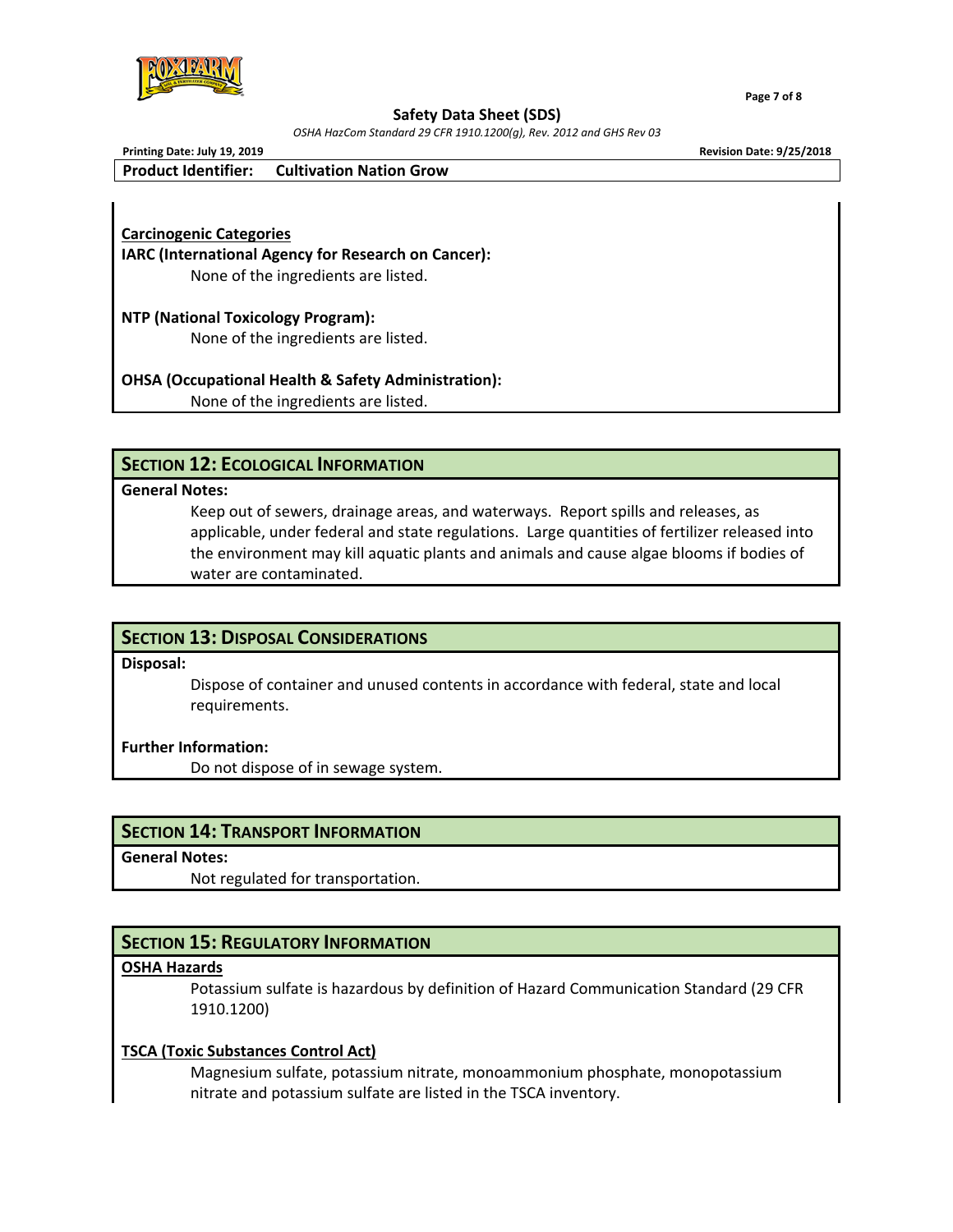

 **Page 7 of 8**

#### **Safety Data Sheet (SDS)**

*OSHA HazCom Standard 29 CFR 1910.1200(g), Rev. 2012 and GHS Rev 03*

**Printing Date: July 19, 2019 Revision Date: 9/25/2018**

**Product Identifier: Cultivation Nation Grow** 

**Carcinogenic Categories IARC (International Agency for Research on Cancer):**  None of the ingredients are listed.

**NTP (National Toxicology Program):**  None of the ingredients are listed.

**OHSA (Occupational Health & Safety Administration):**  None of the ingredients are listed.

## **SECTION 12: ECOLOGICAL INFORMATION**

### **General Notes:**

 Keep out of sewers, drainage areas, and waterways. Report spills and releases, as applicable, under federal and state regulations. Large quantities of fertilizer released into the environment may kill aquatic plants and animals and cause algae blooms if bodies of water are contaminated.

# **SECTION 13: DISPOSAL CONSIDERATIONS**

**Disposal:**

 Dispose of container and unused contents in accordance with federal, state and local requirements.

### **Further Information:**

Do not dispose of in sewage system.

## **SECTION 14: TRANSPORT INFORMATION**

**General Notes:**

Not regulated for transportation.

## **SECTION 15: REGULATORY INFORMATION**

## **OSHA Hazards**

 Potassium sulfate is hazardous by definition of Hazard Communication Standard (29 CFR 1910.1200)

## **TSCA (Toxic Substances Control Act)**

 Magnesium sulfate, potassium nitrate, monoammonium phosphate, monopotassium nitrate and potassium sulfate are listed in the TSCA inventory.